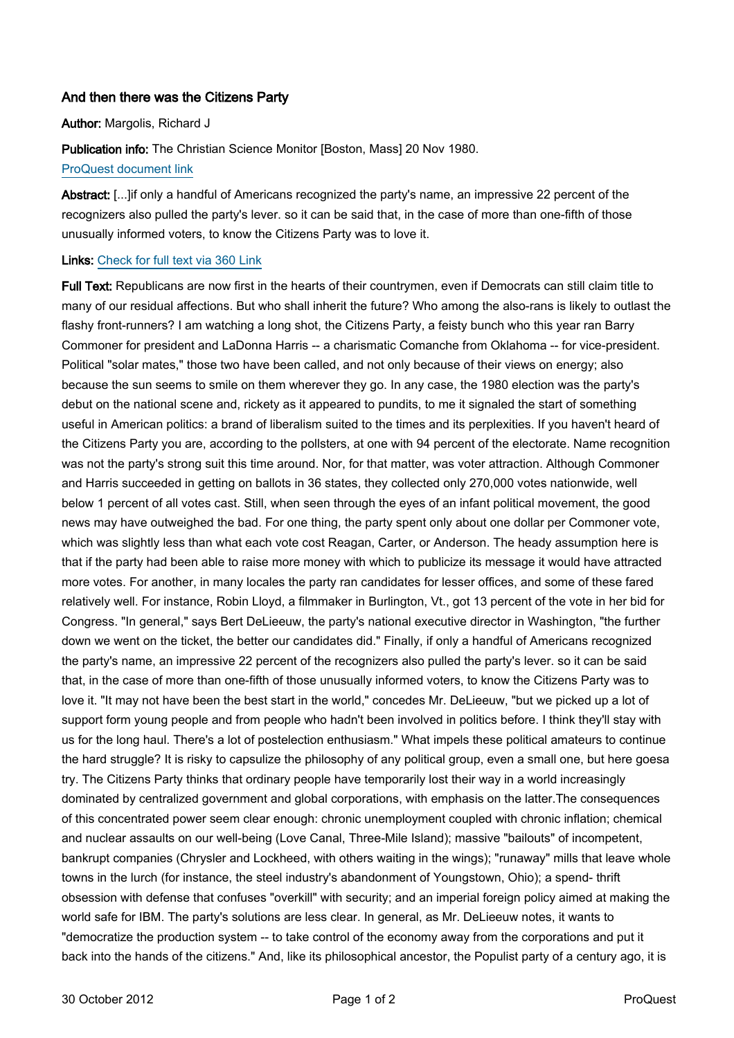# And then there was the Citizens Party

## Author: Margolis, Richard J

Publication info: The Christian Science Monitor [Boston, Mass] 20 Nov 1980. [ProQuest document link](http://ezproxy.lib.uconn.edu/login?url=http://search.proquest.com/docview/1039012924?accountid=14518)

Abstract: [...]if only a handful of Americans recognized the party's name, an impressive 22 percent of the recognizers also pulled the party's lever. so it can be said that, in the case of more than one-fifth of those unusually informed voters, to know the Citizens Party was to love it.

## Links: [Check for full text via 360 Link](http://TK8NJ5XN8A.search.serialssolutions.com/?ctx_ver=Z39.88-2004&ctx_enc=info:ofi/enc:UTF-8&rfr_id=info:sid/ProQ:christiansciencemonitor&rft_val_fmt=info:ofi/fmt:kev:mtx:journal&rft.genre=unknown&rft.jtitle=The%20Christian%20Science%20Monitor&rft.atitle=And%20then%20there%20was%20the%20Citizens%20Party&rft.au=Margolis,%20Richard%20J&rft.aulast=Margolis&rft.aufirst=Richard&rft.date=1980-11-20&rft.volume=&rft.issue=&rft.spage=&rft.isbn=&rft.btitle=&rft.title=The%20Christian%20Science%20Monitor&rft.issn=08827729)

Full Text: Republicans are now first in the hearts of their countrymen, even if Democrats can still claim title to many of our residual affections. But who shall inherit the future? Who among the also-rans is likely to outlast the flashy front-runners? I am watching a long shot, the Citizens Party, a feisty bunch who this year ran Barry Commoner for president and LaDonna Harris -- a charismatic Comanche from Oklahoma -- for vice-president. Political "solar mates," those two have been called, and not only because of their views on energy; also because the sun seems to smile on them wherever they go. In any case, the 1980 election was the party's debut on the national scene and, rickety as it appeared to pundits, to me it signaled the start of something useful in American politics: a brand of liberalism suited to the times and its perplexities. If you haven't heard of the Citizens Party you are, according to the pollsters, at one with 94 percent of the electorate. Name recognition was not the party's strong suit this time around. Nor, for that matter, was voter attraction. Although Commoner and Harris succeeded in getting on ballots in 36 states, they collected only 270,000 votes nationwide, well below 1 percent of all votes cast. Still, when seen through the eyes of an infant political movement, the good news may have outweighed the bad. For one thing, the party spent only about one dollar per Commoner vote, which was slightly less than what each vote cost Reagan, Carter, or Anderson. The heady assumption here is that if the party had been able to raise more money with which to publicize its message it would have attracted more votes. For another, in many locales the party ran candidates for lesser offices, and some of these fared relatively well. For instance, Robin Lloyd, a filmmaker in Burlington, Vt., got 13 percent of the vote in her bid for Congress. "In general," says Bert DeLieeuw, the party's national executive director in Washington, "the further down we went on the ticket, the better our candidates did." Finally, if only a handful of Americans recognized the party's name, an impressive 22 percent of the recognizers also pulled the party's lever. so it can be said that, in the case of more than one-fifth of those unusually informed voters, to know the Citizens Party was to love it. "It may not have been the best start in the world," concedes Mr. DeLieeuw, "but we picked up a lot of support form young people and from people who hadn't been involved in politics before. I think they'll stay with us for the long haul. There's a lot of postelection enthusiasm." What impels these political amateurs to continue the hard struggle? It is risky to capsulize the philosophy of any political group, even a small one, but here goesa try. The Citizens Party thinks that ordinary people have temporarily lost their way in a world increasingly dominated by centralized government and global corporations, with emphasis on the latter.The consequences of this concentrated power seem clear enough: chronic unemployment coupled with chronic inflation; chemical and nuclear assaults on our well-being (Love Canal, Three-Mile Island); massive "bailouts" of incompetent, bankrupt companies (Chrysler and Lockheed, with others waiting in the wings); "runaway" mills that leave whole towns in the lurch (for instance, the steel industry's abandonment of Youngstown, Ohio); a spend- thrift obsession with defense that confuses "overkill" with security; and an imperial foreign policy aimed at making the world safe for IBM. The party's solutions are less clear. In general, as Mr. DeLieeuw notes, it wants to "democratize the production system -- to take control of the economy away from the corporations and put it back into the hands of the citizens." And, like its philosophical ancestor, the Populist party of a century ago, it is